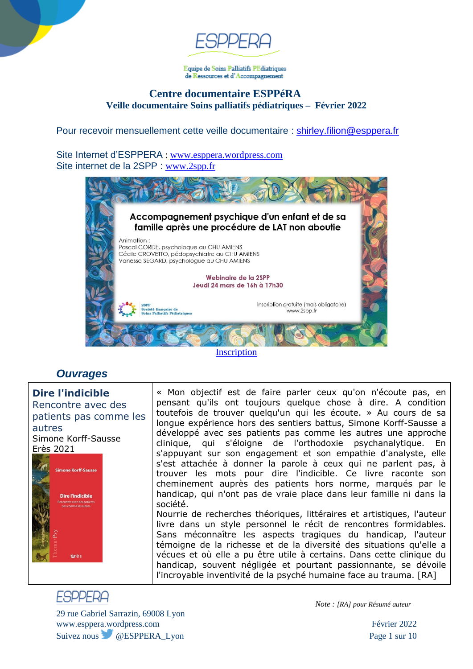

Equipe de Soins Palliatifs PEdiatriques de Ressources et d'Accompagnement

### **Centre documentaire ESPPéRA Veille documentaire Soins palliatifs pédiatriques – Février 2022**

Pour recevoir mensuellement cette veille documentaire : [shirley.filion@esppera.fr](mailto:shirley.filion@esppera.fr)

Site Internet d'ESPPERA : [www.esppera.wordpress.com](http://www.esppera.wordpress.com/) Site internet de la 2SPP : [www.2spp.fr](http://www.2spp.fr/)



**[Inscription](https://www.2spp.fr/webinaire-2022.php)** 

## *Ouvrages*

**Dire l'indicible** Rencontre avec des patients pas comme les autres Simone Korff-Sausse Erès 2021



« Mon objectif est de faire parler ceux qu'on n'écoute pas, en pensant qu'ils ont toujours quelque chose à dire. A condition toutefois de trouver quelqu'un qui les écoute. » Au cours de sa longue expérience hors des sentiers battus, Simone Korff-Sausse a développé avec ses patients pas comme les autres une approche clinique, qui s'éloigne de l'orthodoxie psychanalytique. En s'appuyant sur son engagement et son empathie d'analyste, elle s'est attachée à donner la parole à ceux qui ne parlent pas, à trouver les mots pour dire l'indicible. Ce livre raconte son cheminement auprès des patients hors norme, marqués par le handicap, qui n'ont pas de vraie place dans leur famille ni dans la société.

Nourrie de recherches théoriques, littéraires et artistiques, l'auteur livre dans un style personnel le récit de rencontres formidables. Sans méconnaître les aspects tragiques du handicap, l'auteur témoigne de la richesse et de la diversité des situations qu'elle a vécues et où elle a pu être utile à certains. Dans cette clinique du handicap, souvent négligée et pourtant passionnante, se dévoile l'incroyable inventivité de la psyché humaine face au trauma. [RA]

# **FSPPFRA**

29 rue Gabriel Sarrazin, 69008 Lyon www.esppera.wordpress.com Février 2022 Suivez nous @ESPPERA\_Lyon Page 1 sur 10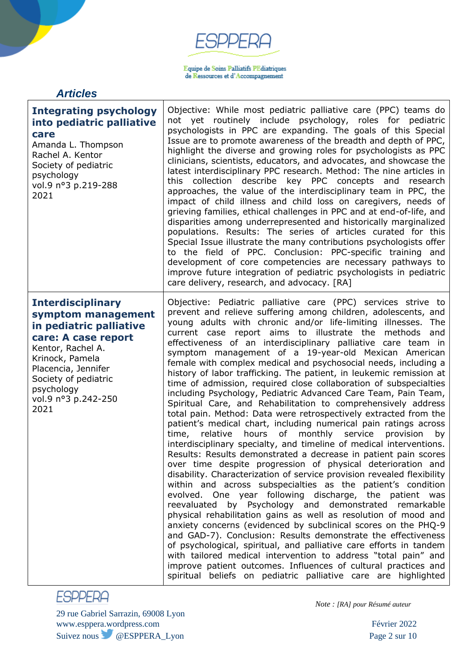$\begin{array}{l} \textbf{Equive de Soins Palliztifs PEdiatriques} \\ \textbf{de Ressources et d'Accompagnement} \end{array}$ 

## *Articles*

| <b>Integrating psychology</b><br>into pediatric palliative<br>care<br>Amanda L. Thompson<br>Rachel A. Kentor<br>Society of pediatric<br>psychology<br>vol.9 nº3 p.219-288<br>2021                                                    | Objective: While most pediatric palliative care (PPC) teams do<br>not yet routinely include psychology, roles for pediatric<br>psychologists in PPC are expanding. The goals of this Special<br>Issue are to promote awareness of the breadth and depth of PPC,<br>highlight the diverse and growing roles for psychologists as PPC<br>clinicians, scientists, educators, and advocates, and showcase the<br>latest interdisciplinary PPC research. Method: The nine articles in<br>describe key PPC concepts and<br>this<br>collection<br>research<br>approaches, the value of the interdisciplinary team in PPC, the<br>impact of child illness and child loss on caregivers, needs of<br>grieving families, ethical challenges in PPC and at end-of-life, and<br>disparities among underrepresented and historically marginalized<br>populations. Results: The series of articles curated for this<br>Special Issue illustrate the many contributions psychologists offer<br>to the field of PPC. Conclusion: PPC-specific training and<br>development of core competencies are necessary pathways to<br>improve future integration of pediatric psychologists in pediatric<br>care delivery, research, and advocacy. [RA]                                                                                                                                                                                                                                                                                                                                                                                                                                                                                                                                                                                                                                                                                        |
|--------------------------------------------------------------------------------------------------------------------------------------------------------------------------------------------------------------------------------------|----------------------------------------------------------------------------------------------------------------------------------------------------------------------------------------------------------------------------------------------------------------------------------------------------------------------------------------------------------------------------------------------------------------------------------------------------------------------------------------------------------------------------------------------------------------------------------------------------------------------------------------------------------------------------------------------------------------------------------------------------------------------------------------------------------------------------------------------------------------------------------------------------------------------------------------------------------------------------------------------------------------------------------------------------------------------------------------------------------------------------------------------------------------------------------------------------------------------------------------------------------------------------------------------------------------------------------------------------------------------------------------------------------------------------------------------------------------------------------------------------------------------------------------------------------------------------------------------------------------------------------------------------------------------------------------------------------------------------------------------------------------------------------------------------------------------------------------------------------------------------------------------------------------------|
| <b>Interdisciplinary</b><br>symptom management<br>in pediatric palliative<br>care: A case report<br>Kentor, Rachel A.<br>Krinock, Pamela<br>Placencia, Jennifer<br>Society of pediatric<br>psychology<br>vol.9 nº3 p.242-250<br>2021 | Objective: Pediatric palliative care (PPC) services strive to<br>prevent and relieve suffering among children, adolescents, and<br>young adults with chronic and/or life-limiting illnesses. The<br>current case report aims to illustrate the methods<br>and<br>effectiveness of an interdisciplinary palliative care team in<br>symptom management of a 19-year-old Mexican American<br>female with complex medical and psychosocial needs, including a<br>history of labor trafficking. The patient, in leukemic remission at<br>time of admission, required close collaboration of subspecialties<br>including Psychology, Pediatric Advanced Care Team, Pain Team,<br>Spiritual Care, and Rehabilitation to comprehensively address<br>total pain. Method: Data were retrospectively extracted from the<br>patient's medical chart, including numerical pain ratings across<br>hours<br>monthly<br>time,<br>relative<br>of<br>service<br>provision<br>by<br>interdisciplinary specialty, and timeline of medical interventions.<br>Results: Results demonstrated a decrease in patient pain scores<br>over time despite progression of physical deterioration and<br>disability. Characterization of service provision revealed flexibility<br>within and across subspecialties as the patient's condition<br>evolved. One year following discharge, the patient was<br>reevaluated by Psychology and demonstrated remarkable<br>physical rehabilitation gains as well as resolution of mood and<br>anxiety concerns (evidenced by subclinical scores on the PHQ-9<br>and GAD-7). Conclusion: Results demonstrate the effectiveness<br>of psychological, spiritual, and palliative care efforts in tandem<br>with tailored medical intervention to address "total pain" and<br>improve patient outcomes. Influences of cultural practices and<br>spiritual beliefs on pediatric palliative care are highlighted |



29 rue Gabriel Sarrazin, 69008 Lyon www.esppera.wordpress.com Février 2022 Suivez nous @ESPPERA\_Lyon Page 2 sur 10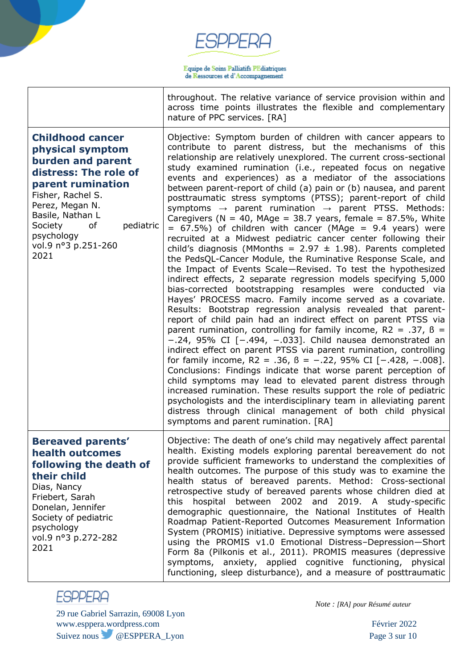Equipe de Soins Palliatifs PEdiatriques de Ressources et d'Accompagnement

throughout. The relative variance of service provision within and across time points illustrates the flexible and complementary nature of PPC services. [RA]

**Childhood cancer physical symptom burden and parent distress: The role of parent rumination** Fisher, Rachel S. Perez, Megan N. Basile, Nathan L Society of pediatric psychology vol.9 n°3 p.251-260 2021 Objective: Symptom burden of children with cancer appears to contribute to parent distress, but the mechanisms of this relationship are relatively unexplored. The current cross-sectional study examined rumination (i.e., repeated focus on negative events and experiences) as a mediator of the associations between parent-report of child (a) pain or (b) nausea, and parent posttraumatic stress symptoms (PTSS); parent-report of child symptoms  $\rightarrow$  parent rumination  $\rightarrow$  parent PTSS. Methods: Caregivers ( $N = 40$ , MAge = 38.7 years, female = 87.5%, White  $= 67.5\%$ ) of children with cancer (MAge  $= 9.4$  years) were recruited at a Midwest pediatric cancer center following their child's diagnosis (MMonths =  $2.97 \pm 1.98$ ). Parents completed the PedsQL-Cancer Module, the Ruminative Response Scale, and the Impact of Events Scale—Revised. To test the hypothesized indirect effects, 2 separate regression models specifying 5,000 bias-corrected bootstrapping resamples were conducted via Hayes' PROCESS macro. Family income served as a covariate. Results: Bootstrap regression analysis revealed that parentreport of child pain had an indirect effect on parent PTSS via parent rumination, controlling for family income,  $R2 = .37$ ,  $B =$ −.24, 95% CI [−.494, −.033]. Child nausea demonstrated an indirect effect on parent PTSS via parent rumination, controlling for family income, R2 = .36,  $\beta$  = -.22, 95% CI [-.428, -.008]. Conclusions: Findings indicate that worse parent perception of child symptoms may lead to elevated parent distress through increased rumination. These results support the role of pediatric psychologists and the interdisciplinary team in alleviating parent distress through clinical management of both child physical symptoms and parent rumination. [RA] **Bereaved parents' health outcomes following the death of their child** Dias, Nancy Friebert, Sarah Donelan, Jennifer Society of pediatric psychology vol.9 n°3 p.272-282 2021 Objective: The death of one's child may negatively affect parental health. Existing models exploring parental bereavement do not provide sufficient frameworks to understand the complexities of health outcomes. The purpose of this study was to examine the health status of bereaved parents. Method: Cross-sectional retrospective study of bereaved parents whose children died at this hospital between 2002 and 2019. A study-specific demographic questionnaire, the National Institutes of Health Roadmap Patient-Reported Outcomes Measurement Information System (PROMIS) initiative. Depressive symptoms were assessed using the PROMIS v1.0 Emotional Distress–Depression—Short Form 8a (Pilkonis et al., 2011). PROMIS measures (depressive symptoms, anxiety, applied cognitive functioning, physical functioning, sleep disturbance), and a measure of posttraumatic



29 rue Gabriel Sarrazin, 69008 Lyon www.esppera.wordpress.com Février 2022 Suivez nous @ESPPERA\_Lyon Page 3 sur 10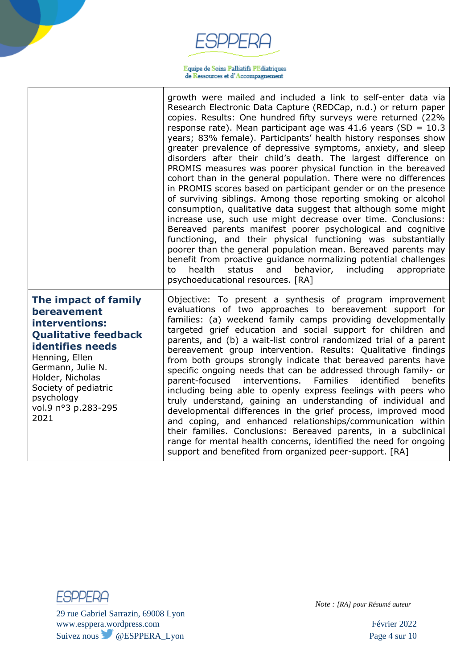$\begin{array}{l} \textbf{Equive de Soins Palliztifs PEdiatriques} \\ \textbf{de Ressources et d'Accompagnement} \end{array}$ 

|                                                                                                                                                                                                                                                 | growth were mailed and included a link to self-enter data via<br>Research Electronic Data Capture (REDCap, n.d.) or return paper<br>copies. Results: One hundred fifty surveys were returned (22%<br>response rate). Mean participant age was 41.6 years (SD = $10.3$<br>years; 83% female). Participants' health history responses show<br>greater prevalence of depressive symptoms, anxiety, and sleep<br>disorders after their child's death. The largest difference on<br>PROMIS measures was poorer physical function in the bereaved<br>cohort than in the general population. There were no differences<br>in PROMIS scores based on participant gender or on the presence<br>of surviving siblings. Among those reporting smoking or alcohol<br>consumption, qualitative data suggest that although some might<br>increase use, such use might decrease over time. Conclusions:<br>Bereaved parents manifest poorer psychological and cognitive<br>functioning, and their physical functioning was substantially<br>poorer than the general population mean. Bereaved parents may<br>benefit from proactive guidance normalizing potential challenges<br>health<br>status<br>and<br>behavior,<br>including<br>appropriate<br>to<br>psychoeducational resources. [RA] |
|-------------------------------------------------------------------------------------------------------------------------------------------------------------------------------------------------------------------------------------------------|-------------------------------------------------------------------------------------------------------------------------------------------------------------------------------------------------------------------------------------------------------------------------------------------------------------------------------------------------------------------------------------------------------------------------------------------------------------------------------------------------------------------------------------------------------------------------------------------------------------------------------------------------------------------------------------------------------------------------------------------------------------------------------------------------------------------------------------------------------------------------------------------------------------------------------------------------------------------------------------------------------------------------------------------------------------------------------------------------------------------------------------------------------------------------------------------------------------------------------------------------------------------------------|
| The impact of family<br>bereavement<br>interventions:<br><b>Qualitative feedback</b><br><b>identifies needs</b><br>Henning, Ellen<br>Germann, Julie N.<br>Holder, Nicholas<br>Society of pediatric<br>psychology<br>vol.9 nº3 p.283-295<br>2021 | Objective: To present a synthesis of program improvement<br>evaluations of two approaches to bereavement support for<br>families: (a) weekend family camps providing developmentally<br>targeted grief education and social support for children and<br>parents, and (b) a wait-list control randomized trial of a parent<br>bereavement group intervention. Results: Qualitative findings<br>from both groups strongly indicate that bereaved parents have<br>specific ongoing needs that can be addressed through family- or<br>parent-focused<br>interventions.<br><b>Families</b><br>identified<br>benefits<br>including being able to openly express feelings with peers who<br>truly understand, gaining an understanding of individual and<br>developmental differences in the grief process, improved mood<br>and coping, and enhanced relationships/communication within<br>their families. Conclusions: Bereaved parents, in a subclinical<br>range for mental health concerns, identified the need for ongoing<br>support and benefited from organized peer-support. [RA]                                                                                                                                                                                          |



29 rue Gabriel Sarrazin, 69008 Lyon www.esppera.wordpress.com Février 2022 Suivez nous @ESPPERA\_Lyon Page 4 sur 10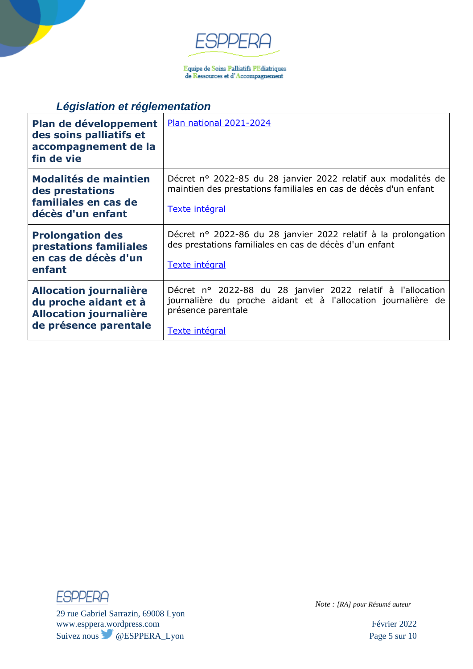

 $\begin{array}{l} \textbf{Equive de Soins Palliztifs PEdiatriques} \\ \textbf{de Ressources et d'Accompagnement} \end{array}$ 

# *Législation et réglementation*

| Plan de développement<br>des soins palliatifs et<br>accompagnement de la<br>fin de vie                           | Plan national 2021-2024                                                                                                                                                     |
|------------------------------------------------------------------------------------------------------------------|-----------------------------------------------------------------------------------------------------------------------------------------------------------------------------|
| Modalités de maintien<br>des prestations<br>familiales en cas de<br>décès d'un enfant                            | Décret nº 2022-85 du 28 janvier 2022 relatif aux modalités de<br>maintien des prestations familiales en cas de décès d'un enfant<br>Texte intégral                          |
| <b>Prolongation des</b><br>prestations familiales<br>en cas de décès d'un<br>enfant                              | Décret nº 2022-86 du 28 janvier 2022 relatif à la prolongation<br>des prestations familiales en cas de décès d'un enfant<br>Texte intégral                                  |
| <b>Allocation journalière</b><br>du proche aidant et à<br><b>Allocation journalière</b><br>de présence parentale | Décret nº 2022-88 du 28 janvier 2022 relatif à l'allocation<br>journalière du proche aidant et à l'allocation journalière de<br>présence parentale<br><u>Texte intégral</u> |

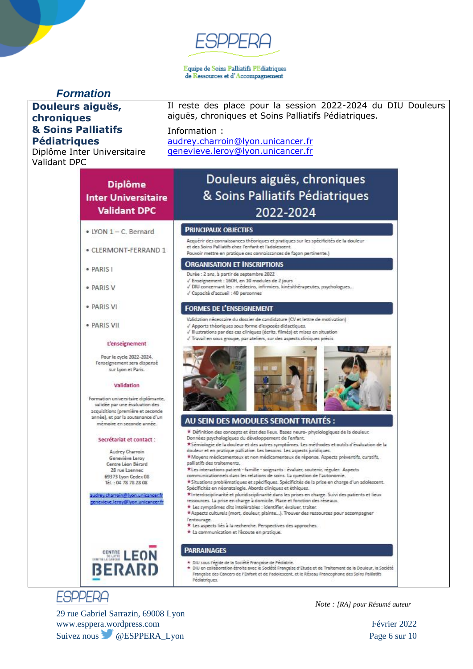#### Equipe de Soins Palliatifs PEdiatriques de Ressources et d'Accompagnement

## *Formation*

### **Douleurs aiguës, chroniques & Soins Palliatifs Pédiatriques**

Diplôme Inter Universitaire Validant DPC

**Diplôme** 

**Inter Universitaire Validant DPC** 

· LYON 1 - C. Bernard

· PARIS I

· PARIS V

· PARIS VI

· PARIS VII

· CLERMONT-FERRAND 1

L'enseignement Pour le cycle 2022-2024, l'enseignement sera dispensé Il reste des place pour la session 2022-2024 du DIU Douleurs aiguës, chroniques et Soins Palliatifs Pédiatriques.

#### Information :

[audrey.charroin@lyon.unicancer.fr](mailto:audrey.charroin@lyon.unicancer.fr) [genevieve.leroy@lyon.unicancer.fr](mailto:genevieve.leroy@lyon.unicancer.fr)

# Douleurs aiguës, chroniques & Soins Palliatifs Pédiatriques 2022-2024

#### **PRINCIPAUX OBJECTIFS**

Acquérir des connaissances théoriques et pratiques sur les spécificités de la douleur et des Soins Palliatifs chez l'enfant et l'adolescent

Pouvoir mettre en pratique ces connaissances de facon pertinente.)

#### **ORGANISATION ET INSCRIPTIONS**

- Durée : 2 ans, à partir de septembre 2022
- √ Enseignement : 160H, en 10 modules de 2 jours
- √ DIU concernant les : médecins, infirmiers, kinésithérapeutes, psychologues...
- √ Capacité d'accueil : 40 personnes

#### **FORMES DE L'ENSEIGNEMENT**

- Validation nécessaire du dossier de candidature (CV et lettre de motivation)
- Apports théoriques sous forme d'exposés didactiques.
- / Illustrations par des cas cliniques (écrits, filmés) et mises en situation
- Travail en sous groupe, par ateliers, sur des aspects cliniques précis



# AU SEIN DES MODULES SERONT TRAITÉS :

- \* Définition des concepts et état des lieux. Bases neuro- physiologiques de la douleur. Données psychologiques du développement de l'enfant.
- \*Sémiologie de la douleur et des autres symptômes. Les méthodes et outils d'évaluation de la
- douleur et en pratique palliative. Les besoins. Les aspects juridiques \*Moyens médicamenteux et non médicamenteux de réponse. Aspects préventifs, curatifs,
- palliatifs des traitements.
- \*Les interactions patient famille soignants : évaluer, soutenir, réguler. Aspects
- communicationnels dans les relations de soins. La question de l'autonomie
- \* Situations problématiques et spécifiques. Spécificités de la prise en charge d'un adolescent. Spécificités en néonatalogie. Abords cliniques et éthiques.
- \* Interdisciplinarité et pluridisciplinarité dans les prises en charge. Suivi des patients et lieux ressources. La prise en charge à domicile. Place et fonction des réseaux.
- \* Les symptômes dits intolérables : identifier, évaluer, traiter.
- \* Aspects culturels (mort, douleur, plainte...). Trouver des ressources pour accompagner l'entourage.
	- \* Les aspects liés à la recherche. Perspectives des approches.
- \* La communication et l'écoute en pratique.

### **PARRAINAGES**

- 
- \* DIU sous l'égide de la Société Française de Pédiatrie.<br>\* DIU en collaboration étroite avec le Société Française d'Etude et de Traitement de la Douleur, la Société Française des Cancers de l'Enfant et de l'adolescent, et le Réseau Francophone des Soins Palliatifs Pédiatriques.

# **ESPPERA**

29 rue Gabriel Sarrazin, 69008 Lyon www.esppera.wordpress.com Février 2022 Suivez nous @ESPPERA\_Lyon Page 6 sur 10

*Note : [RA] pour Résumé auteur*

sur Lyon et Paris. Validation Formation universitaire diplômante. validée par une évaluation des acquisitions (première et seconde année), et par la soutenance d'un mémoire en seconde année.

#### Secrétariat et contact :

Audrey Charroin Geneviève Leroy Centre Léon Bérard 28 rue Laennec 69373 Lyon Cedex 08 Tél.: 04 78 78 28 08

audrey.charroin@lyon.unicancer.f genevieve.leroy@lyon.unicancer

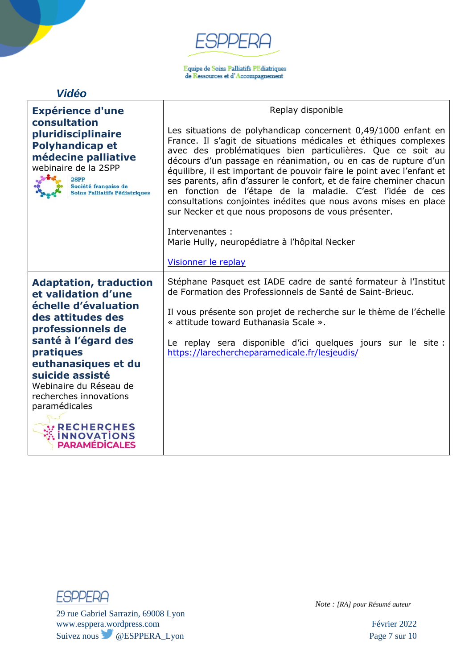$\begin{array}{l} \textbf{Equive de Soins Palliztifs PEdiatriques} \\ \textbf{de Ressources et d'Accompagnement} \end{array}$ 

## *Vidéo*

| <b>Expérience d'une</b>                                                                                                                                                                                                                                                   | Replay disponible                                                                                                                                                                                                                                                                                                                                                                                                                                                                                                                                                                                                                                                                                   |
|---------------------------------------------------------------------------------------------------------------------------------------------------------------------------------------------------------------------------------------------------------------------------|-----------------------------------------------------------------------------------------------------------------------------------------------------------------------------------------------------------------------------------------------------------------------------------------------------------------------------------------------------------------------------------------------------------------------------------------------------------------------------------------------------------------------------------------------------------------------------------------------------------------------------------------------------------------------------------------------------|
| consultation<br>pluridisciplinaire<br><b>Polyhandicap et</b><br>médecine palliative<br>webinaire de la 2SPP<br>2SPP<br>Société française de<br><b>Soins Palliatifs Pédiatriques</b>                                                                                       | Les situations de polyhandicap concernent 0,49/1000 enfant en<br>France. Il s'agit de situations médicales et éthiques complexes<br>avec des problématiques bien particulières. Que ce soit au<br>décours d'un passage en réanimation, ou en cas de rupture d'un<br>équilibre, il est important de pouvoir faire le point avec l'enfant et<br>ses parents, afin d'assurer le confort, et de faire cheminer chacun<br>en fonction de l'étape de la maladie. C'est l'idée de ces<br>consultations conjointes inédites que nous avons mises en place<br>sur Necker et que nous proposons de vous présenter.<br>Intervenantes :<br>Marie Hully, neuropédiatre à l'hôpital Necker<br>Visionner le replay |
| <b>Adaptation, traduction</b><br>et validation d'une<br>échelle d'évaluation<br>des attitudes des<br>professionnels de<br>santé à l'égard des<br>pratiques<br>euthanasiques et du<br>suicide assisté<br>Webinaire du Réseau de<br>recherches innovations<br>paramédicales | Stéphane Pasquet est IADE cadre de santé formateur à l'Institut<br>de Formation des Professionnels de Santé de Saint-Brieuc.<br>Il vous présente son projet de recherche sur le thème de l'échelle<br>« attitude toward Euthanasia Scale ».<br>Le replay sera disponible d'ici quelques jours sur le site :<br>https://larechercheparamedicale.fr/lesjeudis/                                                                                                                                                                                                                                                                                                                                        |
| <b>RECHERCHES</b><br><b>INNOVATIONS</b><br><b>PARAMEDICALES</b>                                                                                                                                                                                                           |                                                                                                                                                                                                                                                                                                                                                                                                                                                                                                                                                                                                                                                                                                     |



29 rue Gabriel Sarrazin, 69008 Lyon www.esppera.wordpress.com Février 2022 Suivez nous @ESPPERA\_Lyon Page 7 sur 10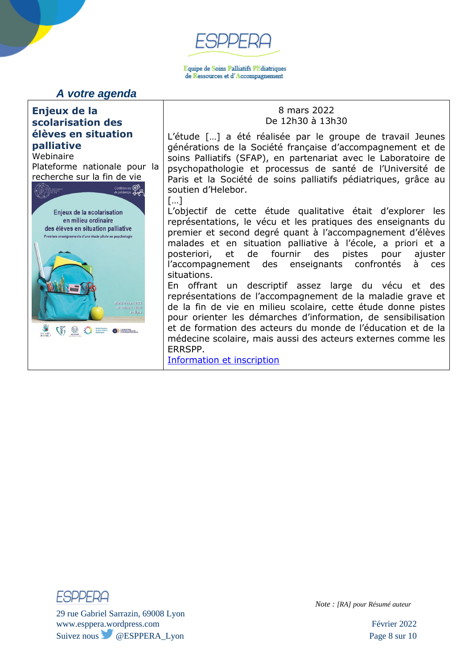Equipe de Soins Palliatifs PEdiatriques de Ressources et d'Accompagnement

*A votre agenda*

### **Enjeux de la scolarisation des élèves en situation palliative**

Webinaire Plateforme nationale pour la recherche sur la fin de vie



### 8 mars 2022 De 12h30 à 13h30

L'étude […] a été réalisée par le groupe de travail Jeunes générations de la Société française d'accompagnement et de soins Palliatifs (SFAP), en partenariat avec le Laboratoire de psychopathologie et processus de santé de l'Université de Paris et la Société de soins palliatifs pédiatriques, grâce au soutien d'Helebor.

[…]

L'objectif de cette étude qualitative était d'explorer les représentations, le vécu et les pratiques des enseignants du premier et second degré quant à l'accompagnement d'élèves malades et en situation palliative à l'école, a priori et a posteriori, et de fournir des pistes pour ajuster l'accompagnement des enseignants confrontés à ces situations.

En offrant un descriptif assez large du vécu et des représentations de l'accompagnement de la maladie grave et de la fin de vie en milieu scolaire, cette étude donne pistes pour orienter les démarches d'information, de sensibilisation et de formation des acteurs du monde de l'éducation et de la médecine scolaire, mais aussi des acteurs externes comme les ERRSPP.

Information [et inscription](https://www.plateforme-recherche-findevie.fr/agenda/enjeux-de-la-scolarisation-des-eleves-en-situation-palliative)



29 rue Gabriel Sarrazin, 69008 Lyon www.esppera.wordpress.com Février 2022 Suivez nous @ESPPERA\_Lyon Page 8 sur 10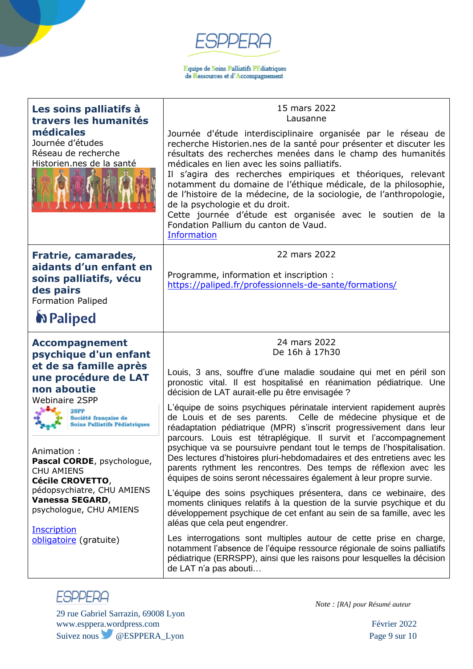$\begin{array}{l} \textbf{Equive de Soins Palliztifs PEdiatriques} \\ \textbf{de Ressources et d'Accompagnement} \end{array}$ 

| Les soins palliatifs à<br>travers les humanités                                                                                                                                                                                                                                                                                                                                                                                   | 15 mars 2022<br>Lausanne                                                                                                                                                                                                                                                                                                                                                                                                                                                                                                                                                                                                                                                                                                                                                                                                                                                                                                                                     |
|-----------------------------------------------------------------------------------------------------------------------------------------------------------------------------------------------------------------------------------------------------------------------------------------------------------------------------------------------------------------------------------------------------------------------------------|--------------------------------------------------------------------------------------------------------------------------------------------------------------------------------------------------------------------------------------------------------------------------------------------------------------------------------------------------------------------------------------------------------------------------------------------------------------------------------------------------------------------------------------------------------------------------------------------------------------------------------------------------------------------------------------------------------------------------------------------------------------------------------------------------------------------------------------------------------------------------------------------------------------------------------------------------------------|
| médicales<br>Journée d'études<br>Réseau de recherche<br>Historien.nes de la santé                                                                                                                                                                                                                                                                                                                                                 | Journée d'étude interdisciplinaire organisée par le réseau de<br>recherche Historien.nes de la santé pour présenter et discuter les<br>résultats des recherches menées dans le champ des humanités<br>médicales en lien avec les soins palliatifs.<br>Il s'agira des recherches empiriques et théoriques, relevant<br>notamment du domaine de l'éthique médicale, de la philosophie,<br>de l'histoire de la médecine, de la sociologie, de l'anthropologie,<br>de la psychologie et du droit.<br>Cette journée d'étude est organisée avec le soutien de la<br>Fondation Pallium du canton de Vaud.<br><b>Information</b>                                                                                                                                                                                                                                                                                                                                     |
| Fratrie, camarades,<br>aidants d'un enfant en<br>soins palliatifs, vécu<br>des pairs<br><b>Formation Paliped</b><br><b>N</b> Paliped                                                                                                                                                                                                                                                                                              | 22 mars 2022<br>Programme, information et inscription :<br>https://paliped.fr/professionnels-de-sante/formations/                                                                                                                                                                                                                                                                                                                                                                                                                                                                                                                                                                                                                                                                                                                                                                                                                                            |
| <b>Accompagnement</b><br>psychique d'un enfant<br>et de sa famille après<br>une procédure de LAT<br>non aboutie<br><b>Webinaire 2SPP</b><br>2SPP<br>Société française de<br><b>Soins Palliatifs Pédiatriques</b><br>Animation:<br>Pascal CORDE, psychologue,<br><b>CHU AMIENS</b><br>Cécile CROVETTO,<br>pédopsychiatre, CHU AMIENS<br>Vanessa SEGARD,<br>psychologue, CHU AMIENS<br><b>Inscription</b><br>obligatoire (gratuite) | 24 mars 2022<br>De 16h à 17h30<br>Louis, 3 ans, souffre d'une maladie soudaine qui met en péril son<br>pronostic vital. Il est hospitalisé en réanimation pédiatrique. Une<br>décision de LAT aurait-elle pu être envisagée ?<br>L'équipe de soins psychiques périnatale intervient rapidement auprès<br>de Louis et de ses parents. Celle de médecine physique et de<br>réadaptation pédiatrique (MPR) s'inscrit progressivement dans leur<br>parcours. Louis est tétraplégique. Il survit et l'accompagnement<br>psychique va se poursuivre pendant tout le temps de l'hospitalisation.<br>Des lectures d'histoires pluri-hebdomadaires et des entretiens avec les<br>parents rythment les rencontres. Des temps de réflexion avec les<br>équipes de soins seront nécessaires également à leur propre survie.<br>L'équipe des soins psychiques présentera, dans ce webinaire, des<br>moments cliniques relatifs à la question de la survie psychique et du |
|                                                                                                                                                                                                                                                                                                                                                                                                                                   | développement psychique de cet enfant au sein de sa famille, avec les<br>aléas que cela peut engendrer.<br>Les interrogations sont multiples autour de cette prise en charge,<br>notamment l'absence de l'équipe ressource régionale de soins palliatifs<br>pédiatrique (ERRSPP), ainsi que les raisons pour lesquelles la décision<br>de LAT n'a pas abouti                                                                                                                                                                                                                                                                                                                                                                                                                                                                                                                                                                                                 |



29 rue Gabriel Sarrazin, 69008 Lyon www.esppera.wordpress.com Février 2022 Suivez nous @ESPPERA\_Lyon Page 9 sur 10